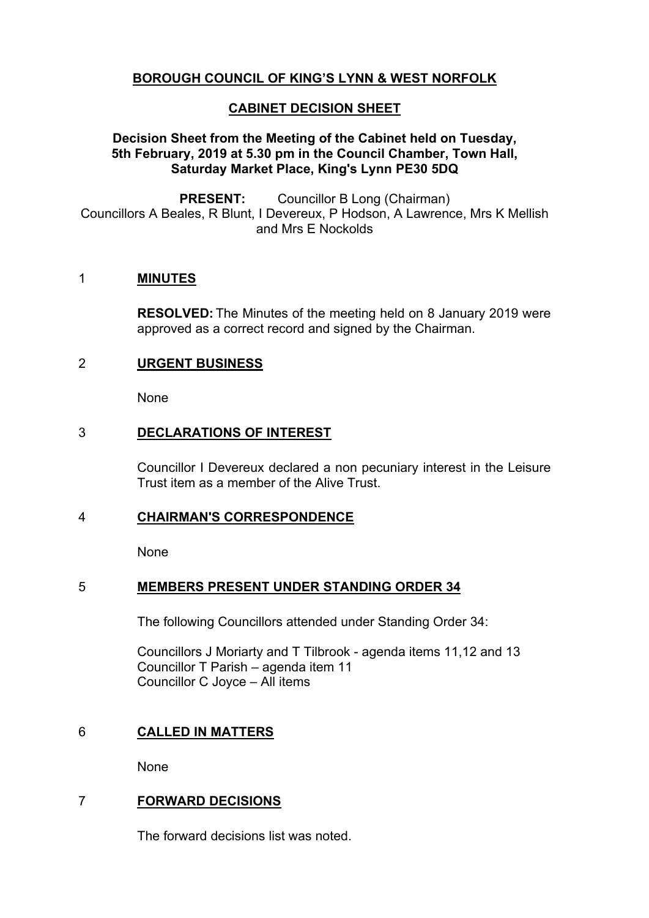# **BOROUGH COUNCIL OF KING'S LYNN & WEST NORFOLK**

# **CABINET DECISION SHEET**

# **Decision Sheet from the Meeting of the Cabinet held on Tuesday, 5th February, 2019 at 5.30 pm in the Council Chamber, Town Hall, Saturday Market Place, King's Lynn PE30 5DQ**

**PRESENT:** Councillor B Long (Chairman) Councillors A Beales, R Blunt, I Devereux, P Hodson, A Lawrence, Mrs K Mellish and Mrs E Nockolds

### 1 **MINUTES**

**RESOLVED:** The Minutes of the meeting held on 8 January 2019 were approved as a correct record and signed by the Chairman.

# 2 **URGENT BUSINESS**

None

### 3 **DECLARATIONS OF INTEREST**

Councillor I Devereux declared a non pecuniary interest in the Leisure Trust item as a member of the Alive Trust.

#### 4 **CHAIRMAN'S CORRESPONDENCE**

None

# 5 **MEMBERS PRESENT UNDER STANDING ORDER 34**

The following Councillors attended under Standing Order 34:

Councillors J Moriarty and T Tilbrook - agenda items 11,12 and 13 Councillor T Parish – agenda item 11 Councillor C Joyce – All items

# 6 **CALLED IN MATTERS**

None

# 7 **FORWARD DECISIONS**

The forward decisions list was noted.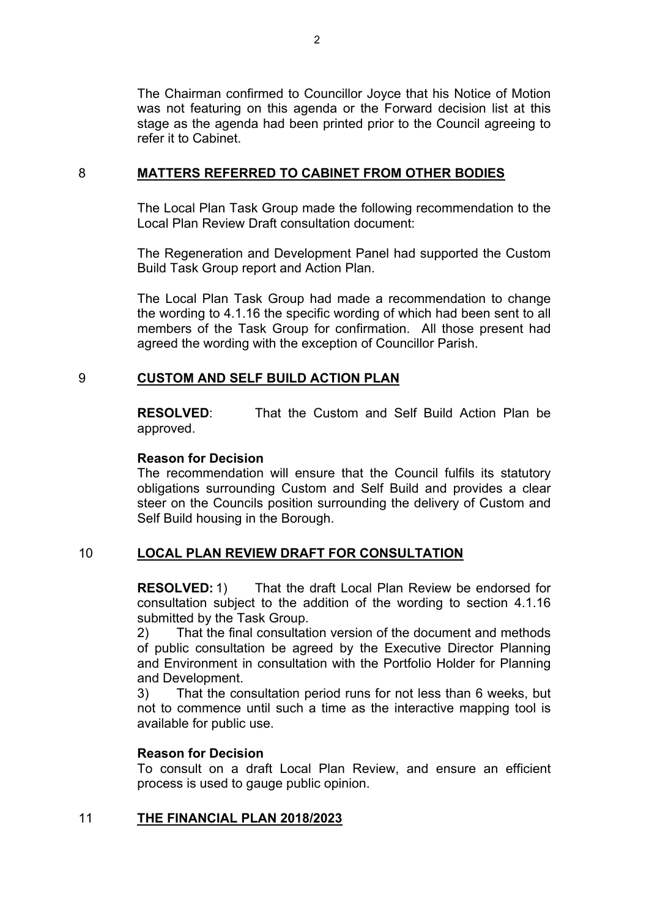The Chairman confirmed to Councillor Joyce that his Notice of Motion was not featuring on this agenda or the Forward decision list at this stage as the agenda had been printed prior to the Council agreeing to refer it to Cabinet.

### 8 **MATTERS REFERRED TO CABINET FROM OTHER BODIES**

The Local Plan Task Group made the following recommendation to the Local Plan Review Draft consultation document:

The Regeneration and Development Panel had supported the Custom Build Task Group report and Action Plan.

The Local Plan Task Group had made a recommendation to change the wording to 4.1.16 the specific wording of which had been sent to all members of the Task Group for confirmation. All those present had agreed the wording with the exception of Councillor Parish.

# 9 **CUSTOM AND SELF BUILD ACTION PLAN**

**RESOLVED**: That the Custom and Self Build Action Plan be approved.

### **Reason for Decision**

The recommendation will ensure that the Council fulfils its statutory obligations surrounding Custom and Self Build and provides a clear steer on the Councils position surrounding the delivery of Custom and Self Build housing in the Borough.

# 10 **LOCAL PLAN REVIEW DRAFT FOR CONSULTATION**

**RESOLVED:** 1) That the draft Local Plan Review be endorsed for consultation subject to the addition of the wording to section 4.1.16 submitted by the Task Group.

2) That the final consultation version of the document and methods of public consultation be agreed by the Executive Director Planning and Environment in consultation with the Portfolio Holder for Planning and Development.

3) That the consultation period runs for not less than 6 weeks, but not to commence until such a time as the interactive mapping tool is available for public use.

# **Reason for Decision**

To consult on a draft Local Plan Review, and ensure an efficient process is used to gauge public opinion.

# 11 **THE FINANCIAL PLAN 2018/2023**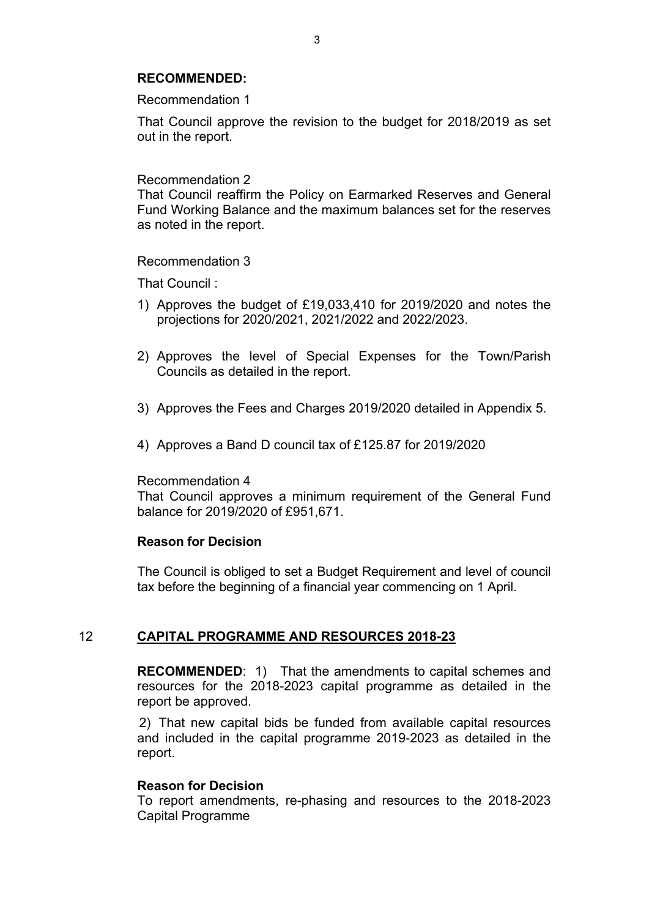#### **RECOMMENDED:**

Recommendation 1

That Council approve the revision to the budget for 2018/2019 as set out in the report.

#### Recommendation 2

That Council reaffirm the Policy on Earmarked Reserves and General Fund Working Balance and the maximum balances set for the reserves as noted in the report.

#### Recommendation 3

That Council :

- 1) Approves the budget of £19,033,410 for 2019/2020 and notes the projections for 2020/2021, 2021/2022 and 2022/2023.
- 2) Approves the level of Special Expenses for the Town/Parish Councils as detailed in the report.
- 3) Approves the Fees and Charges 2019/2020 detailed in Appendix 5.
- 4) Approves a Band D council tax of £125.87 for 2019/2020

#### Recommendation 4

That Council approves a minimum requirement of the General Fund balance for 2019/2020 of £951,671.

#### **Reason for Decision**

The Council is obliged to set a Budget Requirement and level of council tax before the beginning of a financial year commencing on 1 April.

#### 12 **CAPITAL PROGRAMME AND RESOURCES 2018-23**

**RECOMMENDED:** 1) That the amendments to capital schemes and resources for the 2018-2023 capital programme as detailed in the report be approved.

2) That new capital bids be funded from available capital resources and included in the capital programme 2019-2023 as detailed in the report.

#### **Reason for Decision**

To report amendments, re-phasing and resources to the 2018-2023 Capital Programme